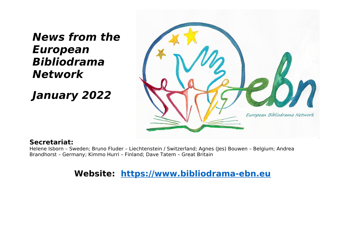# **News from the European Bibliodrama Network**

**January 2022**



### **Secretariat:**

Helene Isborn – Sweden; Bruno Fluder – Liechtenstein / Switzerland; Agnes (Jes) Bouwen – Belgium; Andrea Brandhorst – Germany; Kimmo Hurri – Finland; Dave Tatem – Great Britain

## **Website: [https://www.bibliodrama-ebn.eu](https://www.bibliodrama-ebn.eu/)**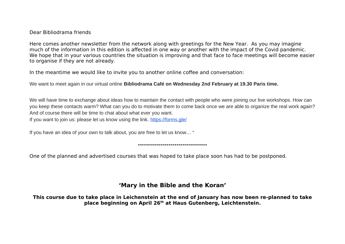#### Dear Bibliodrama friends

Here comes another newsletter from the network along with greetings for the New Year. As you may imagine much of the information in this edition is affected in one way or another with the impact of the Covid pandemic. We hope that in your various countries the situation is improving and that face to face meetings will become easier to organise if they are not already.

In the meantime we would like to invite you to another online coffee and conversation:

We want to meet again in our virtual online **Bibliodrama Café on Wednesday 2nd February at 19.30 Paris time.**

We will have time to exchange about ideas how to maintain the contact with people who were joining our live workshops. How can you keep these contacts warm? What can you do to motivate them to come back once we are able to organize the real work again? And of course there will be time to chat about what ever you want. If you want to join us: please let us know using the link. [https://forms.gle/](https://forms.gle/4rwrpNMhTiy8Mo3M7)

**----------------------------------**

If you have an idea of your own to talk about, you are free to let us know… "

One of the planned and advertised courses that was hoped to take place soon has had to be postponed.

#### **'Mary in the Bible and the Koran'**

**This course due to take place in Leichenstein at the end of January has now been re-planned to take place beginning on April 26th at Haus Gutenberg, Leichtenstein.**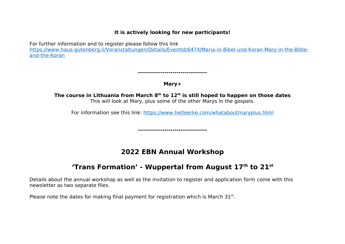#### **It is actively looking for new participants!**

For further information and to register please follow this link

[https://www.haus-gutenberg.li/Veranstaltungen/Details/EventId/6474/Maria-in-Bibel-und-Koran-Mary-in-the-Bible](https://www.haus-gutenberg.li/Veranstaltungen/Details/EventId/6474/Maria-in-Bibel-und-Koran-Mary-in-the-Bible-and-the-Koran)[and-the-Koran](https://www.haus-gutenberg.li/Veranstaltungen/Details/EventId/6474/Maria-in-Bibel-und-Koran-Mary-in-the-Bible-and-the-Koran)

**----------------------------------**

#### **Mary+**

**The course in Lithuania from March 8th to 12th is still hoped to happen on those dates**  This will look at Mary, plus some of the other Marys in the gospels.

For information see this link: <https://www.hetleerke.com/whataboutmaryplus.html>

**----------------------------------**

## **2022 EBN Annual Workshop**

## **'Trans Formation' - Wuppertal from August 17th to 21st**

Details about the annual workshop as well as the invitation to register and application form come with this newsletter as two separate files.

Please note the dates for making final payment for registration which is March  $31<sup>st</sup>$ .